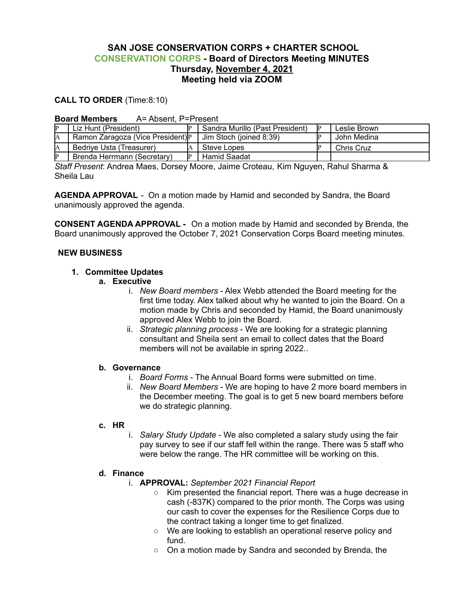# **SAN JOSE CONSERVATION CORPS + CHARTER SCHOOL CONSERVATION CORPS - Board of Directors Meeting MINUTES Thursday, November 4, 2021 Meeting held via ZOOM**

## **CALL TO ORDER** (Time:8:10)

#### **Board Members** A= Absent, P=Present

|    | Liz Hunt (President)              |  | Sandra Murillo (Past President) |  | Leslie Brown |
|----|-----------------------------------|--|---------------------------------|--|--------------|
|    | Ramon Zaragoza (Vice President) P |  | Jim Stoch (joined 8:39)         |  | John Medina  |
| A  | Bedrive Usta (Treasurer)          |  | Steve Lopes                     |  | Chris Cruz   |
| ID | Brenda Herrmann (Secretary)       |  | Hamid Saadat                    |  |              |

*Staff Present*: Andrea Maes, Dorsey Moore, Jaime Croteau, Kim Nguyen, Rahul Sharma & Sheila Lau

**AGENDA APPROVAL** - On a motion made by Hamid and seconded by Sandra, the Board unanimously approved the agenda.

**CONSENT AGENDA APPROVAL -** On a motion made by Hamid and seconded by Brenda, the Board unanimously approved the October 7, 2021 Conservation Corps Board meeting minutes.

#### **NEW BUSINESS**

## **1. Committee Updates**

#### **a. Executive**

- i. *New Board members* Alex Webb attended the Board meeting for the first time today. Alex talked about why he wanted to join the Board. On a motion made by Chris and seconded by Hamid, the Board unanimously approved Alex Webb to join the Board.
- ii. *Strategic planning process* We are looking for a strategic planning consultant and Sheila sent an email to collect dates that the Board members will not be available in spring 2022..

#### **b. Governance**

- i. *Board Forms* The Annual Board forms were submitted on time.
- ii. *New Board Members* We are hoping to have 2 more board members in the December meeting. The goal is to get 5 new board members before we do strategic planning.

#### **c. HR**

i. *Salary Study Update* - We also completed a salary study using the fair pay survey to see if our staff fell within the range. There was 5 staff who were below the range. The HR committee will be working on this.

#### **d. Finance**

- i. **APPROVAL:** *September 2021 Financial Report*
	- Kim presented the financial report. There was a huge decrease in cash (-837K) compared to the prior month. The Corps was using our cash to cover the expenses for the Resilience Corps due to the contract taking a longer time to get finalized.
	- We are looking to establish an operational reserve policy and fund.
	- On a motion made by Sandra and seconded by Brenda, the